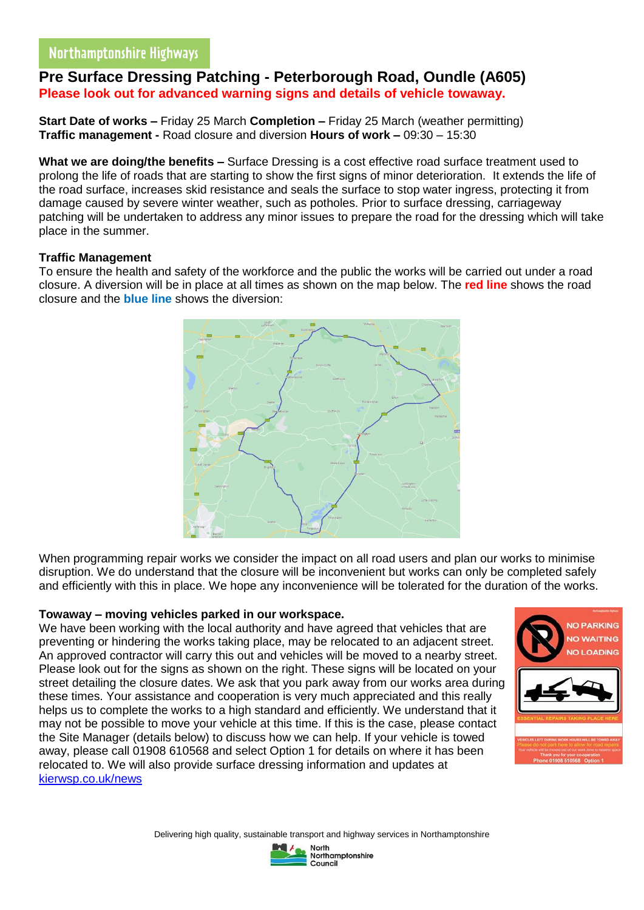# Northamptonshire Highways

## **Pre Surface Dressing Patching - Peterborough Road, Oundle (A605) Please look out for advanced warning signs and details of vehicle towaway.**

**Start Date of works –** Friday 25 March **Completion –** Friday 25 March (weather permitting) **Traffic management -** Road closure and diversion **Hours of work –** 09:30 – 15:30

**What we are doing/the benefits –** Surface Dressing is a cost effective road surface treatment used to prolong the life of roads that are starting to show the first signs of minor deterioration. It extends the life of the road surface, increases skid resistance and seals the surface to stop water ingress, protecting it from damage caused by severe winter weather, such as potholes. Prior to surface dressing, carriageway patching will be undertaken to address any minor issues to prepare the road for the dressing which will take place in the summer.

#### **Traffic Management**

To ensure the health and safety of the workforce and the public the works will be carried out under a road closure. A diversion will be in place at all times as shown on the map below. The **red line** shows the road closure and the **blue line** shows the diversion:



When programming repair works we consider the impact on all road users and plan our works to minimise disruption. We do understand that the closure will be inconvenient but works can only be completed safely and efficiently with this in place. We hope any inconvenience will be tolerated for the duration of the works.

#### **Towaway – moving vehicles parked in our workspace.**

We have been working with the local authority and have agreed that vehicles that are preventing or hindering the works taking place, may be relocated to an adjacent street. An approved contractor will carry this out and vehicles will be moved to a nearby street. Please look out for the signs as shown on the right. These signs will be located on your street detailing the closure dates. We ask that you park away from our works area during these times. Your assistance and cooperation is very much appreciated and this really helps us to complete the works to a high standard and efficiently. We understand that it may not be possible to move your vehicle at this time. If this is the case, please contact the Site Manager (details below) to discuss how we can help. If your vehicle is towed away, please call 01908 610568 and select Option 1 for details on where it has been relocated to. We will also provide surface dressing information and updates at [kierwsp.co.uk/news](https://www.kierwsp.co.uk/news)



Delivering high quality, sustainable transport and highway services in Northamptonshire